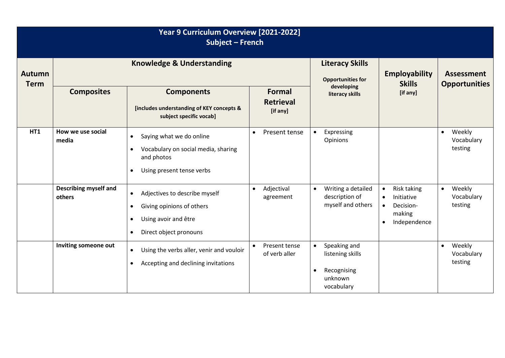| Year 9 Curriculum Overview [2021-2022]<br><b>Subject - French</b> |                                      |                                                                                                                                                                  |                                               |                                                                                                    |                                                                                                         |                                              |  |
|-------------------------------------------------------------------|--------------------------------------|------------------------------------------------------------------------------------------------------------------------------------------------------------------|-----------------------------------------------|----------------------------------------------------------------------------------------------------|---------------------------------------------------------------------------------------------------------|----------------------------------------------|--|
| <b>Autumn</b><br><b>Term</b>                                      | <b>Knowledge &amp; Understanding</b> |                                                                                                                                                                  |                                               | <b>Literacy Skills</b><br><b>Opportunities for</b>                                                 | <b>Employability</b><br><b>Skills</b>                                                                   | <b>Assessment</b><br><b>Opportunities</b>    |  |
|                                                                   | <b>Composites</b>                    | <b>Components</b><br>[includes understanding of KEY concepts &<br>subject specific vocab]                                                                        | <b>Formal</b><br><b>Retrieval</b><br>[if any] | developing<br>literacy skills                                                                      | [if any]                                                                                                |                                              |  |
| HT1                                                               | How we use social<br>media           | Saying what we do online<br>$\bullet$<br>Vocabulary on social media, sharing<br>$\bullet$<br>and photos<br>Using present tense verbs<br>$\bullet$                | Present tense<br>$\bullet$                    | Expressing<br>$\bullet$<br>Opinions                                                                |                                                                                                         | Weekly<br>$\bullet$<br>Vocabulary<br>testing |  |
|                                                                   | Describing myself and<br>others      | Adjectives to describe myself<br>$\bullet$<br>Giving opinions of others<br>$\bullet$<br>Using avoir and être<br>$\bullet$<br>Direct object pronouns<br>$\bullet$ | Adjectival<br>$\bullet$<br>agreement          | Writing a detailed<br>$\bullet$<br>description of<br>myself and others                             | Risk taking<br>$\bullet$<br>Initiative<br>Decision-<br>$\bullet$<br>making<br>Independence<br>$\bullet$ | Weekly<br>$\bullet$<br>Vocabulary<br>testing |  |
|                                                                   | Inviting someone out                 | Using the verbs aller, venir and vouloir<br>$\bullet$<br>Accepting and declining invitations<br>$\bullet$                                                        | Present tense<br>$\bullet$<br>of verb aller   | Speaking and<br>$\bullet$<br>listening skills<br>Recognising<br>$\bullet$<br>unknown<br>vocabulary |                                                                                                         | Weekly<br>$\bullet$<br>Vocabulary<br>testing |  |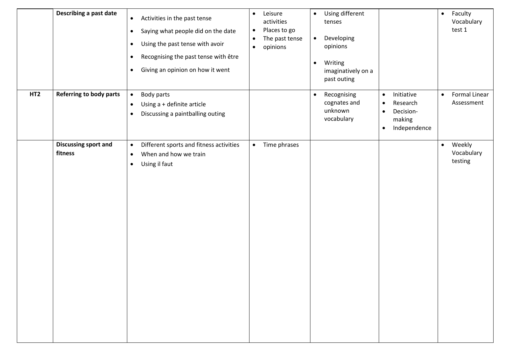|                 | Describing a past date                 | Activities in the past tense<br>$\bullet$<br>Saying what people did on the date<br>$\bullet$<br>Using the past tense with avoir<br>$\bullet$<br>Recognising the past tense with être<br>$\bullet$<br>Giving an opinion on how it went<br>$\bullet$ | Leisure<br>$\bullet$<br>activities<br>Places to go<br>$\bullet$<br>The past tense<br>$\bullet$<br>opinions<br>$\bullet$ | Using different<br>$\bullet$<br>tenses<br>Developing<br>$\bullet$<br>opinions<br>Writing<br>$\bullet$<br>imaginatively on a<br>past outing |                                                                                                                   | Faculty<br>$\bullet$<br>Vocabulary<br>test 1    |
|-----------------|----------------------------------------|----------------------------------------------------------------------------------------------------------------------------------------------------------------------------------------------------------------------------------------------------|-------------------------------------------------------------------------------------------------------------------------|--------------------------------------------------------------------------------------------------------------------------------------------|-------------------------------------------------------------------------------------------------------------------|-------------------------------------------------|
| HT <sub>2</sub> | <b>Referring to body parts</b>         | Body parts<br>$\bullet$<br>Using a + definite article<br>$\bullet$<br>Discussing a paintballing outing<br>$\bullet$                                                                                                                                |                                                                                                                         | Recognising<br>$\bullet$<br>cognates and<br>unknown<br>vocabulary                                                                          | Initiative<br>$\bullet$<br>Research<br>$\bullet$<br>Decision-<br>$\bullet$<br>making<br>Independence<br>$\bullet$ | <b>Formal Linear</b><br>$\bullet$<br>Assessment |
|                 | <b>Discussing sport and</b><br>fitness | Different sports and fitness activities<br>$\bullet$<br>When and how we train<br>$\bullet$<br>Using il faut<br>$\bullet$                                                                                                                           | Time phrases<br>$\bullet$                                                                                               |                                                                                                                                            |                                                                                                                   | Weekly<br>$\bullet$<br>Vocabulary<br>testing    |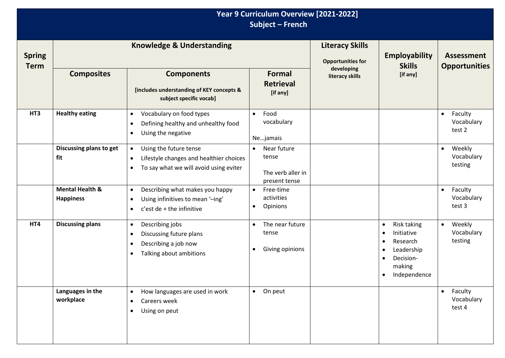|                              | Year 9 Curriculum Overview [2021-2022]<br>Subject - French |                                                                                                                                                    |                                                                         |                                                    |                                                                                                                                                |                                              |
|------------------------------|------------------------------------------------------------|----------------------------------------------------------------------------------------------------------------------------------------------------|-------------------------------------------------------------------------|----------------------------------------------------|------------------------------------------------------------------------------------------------------------------------------------------------|----------------------------------------------|
| <b>Spring</b><br><b>Term</b> | <b>Knowledge &amp; Understanding</b>                       |                                                                                                                                                    |                                                                         | <b>Literacy Skills</b><br><b>Opportunities for</b> | <b>Employability</b><br><b>Skills</b>                                                                                                          | <b>Assessment</b><br><b>Opportunities</b>    |
|                              | <b>Composites</b>                                          | <b>Components</b><br>[includes understanding of KEY concepts &<br>subject specific vocab]                                                          | <b>Formal</b><br><b>Retrieval</b><br>[if any]                           | developing<br>literacy skills                      | [if any]                                                                                                                                       |                                              |
| HT3                          | <b>Healthy eating</b>                                      | Vocabulary on food types<br>$\bullet$<br>Defining healthy and unhealthy food<br>$\bullet$<br>Using the negative<br>$\bullet$                       | Food<br>$\bullet$<br>vocabulary<br>Nejamais                             |                                                    |                                                                                                                                                | Faculty<br>$\bullet$<br>Vocabulary<br>test 2 |
|                              | Discussing plans to get<br>fit                             | Using the future tense<br>$\bullet$<br>Lifestyle changes and healthier choices<br>$\bullet$<br>To say what we will avoid using eviter<br>$\bullet$ | Near future<br>$\bullet$<br>tense<br>The verb aller in<br>present tense |                                                    |                                                                                                                                                | Weekly<br>$\bullet$<br>Vocabulary<br>testing |
|                              | <b>Mental Health &amp;</b><br><b>Happiness</b>             | Describing what makes you happy<br>$\bullet$<br>Using infinitives to mean '-ing'<br>$\bullet$<br>$c$ 'est de + the infinitive<br>$\bullet$         | Free-time<br>$\bullet$<br>activities<br>Opinions<br>$\bullet$           |                                                    |                                                                                                                                                | Faculty<br>$\bullet$<br>Vocabulary<br>test 3 |
| HT4                          | <b>Discussing plans</b>                                    | Describing jobs<br>$\bullet$<br>Discussing future plans<br>$\bullet$<br>Describing a job now<br>$\bullet$<br>Talking about ambitions<br>$\bullet$  | The near future<br>$\bullet$<br>tense<br>Giving opinions<br>$\bullet$   |                                                    | Risk taking<br>$\bullet$<br>Initiative<br>$\bullet$<br>Research<br>Leadership<br>Decision-<br>$\bullet$<br>making<br>Independence<br>$\bullet$ | Weekly<br>$\bullet$<br>Vocabulary<br>testing |
|                              | Languages in the<br>workplace                              | How languages are used in work<br>$\bullet$<br>Careers week<br>$\bullet$<br>Using on peut<br>$\bullet$                                             | On peut<br>$\bullet$                                                    |                                                    |                                                                                                                                                | Faculty<br>$\bullet$<br>Vocabulary<br>test 4 |